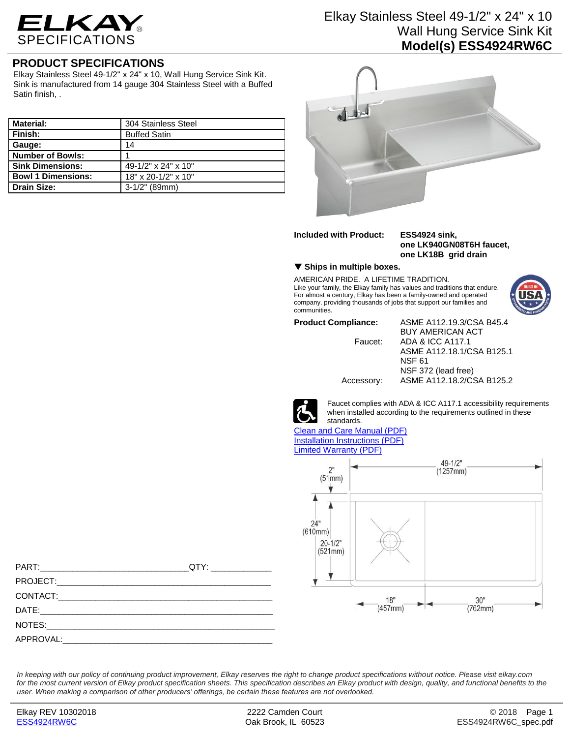

# Elkay Stainless Steel 49-1/2" x 24" x 10 Wall Hung Service Sink Kit **Model(s) ESS4924RW6C**

## **PRODUCT SPECIFICATIONS**

Elkay Stainless Steel 49-1/2" x 24" x 10, Wall Hung Service Sink Kit. Sink is manufactured from 14 gauge 304 Stainless Steel with a Buffed Satin finish, .

| <b>Material:</b>          | 304 Stainless Steel               |
|---------------------------|-----------------------------------|
| Finish:                   | <b>Buffed Satin</b>               |
| Gauge:                    | 14                                |
| <b>Number of Bowls:</b>   |                                   |
| <b>Sink Dimensions:</b>   | 49-1/2" x 24" x 10"               |
| <b>Bowl 1 Dimensions:</b> | $18" \times 20 - 1/2" \times 10"$ |
| <b>Drain Size:</b>        | $3-1/2$ " (89mm)                  |



**Included with Product: ESS4924 sink,**

**one LK940GN08T6H faucet, one LK18B grid drain**

### **Ships in multiple boxes.**

AMERICAN PRIDE. A LIFETIME TRADITION. Like your family, the Elkay family has values and traditions that endure. For almost a century, Elkay has been a family-owned and operated company, providing thousands of jobs that support our families and communities.



#### **Product Compliance:** ASME A112.19.3/CSA B45.4

BUY AMERICAN ACT Faucet: ADA & ICC A117.1 ASME A112.18.1/CSA B125.1 NSF 61 NSF 372 (lead free) Accessory: ASME A112.18.2/CSA B125.2



Faucet complies with ADA & ICC A117.1 accessibility requirements when installed according to the requirements outlined in these standards.

### [Clean and Care Manual \(PDF\)](http://www.elkay.com/wcsstore/lkdocs/care-cleaning-install-warranty-sheets/residential%20and%20commercial%20care%20%20cleaning.pdf) [Installation Instructions \(PDF\)](http://www.elkay.com/wcsstore/lkdocs/care-cleaning-install-warranty-sheets/74210010.pdf) [Limited Warranty](http://www.elkay.com/wcsstore/lkdocs/care-cleaning-install-warranty-sheets/commercial%20sinks%20and%20faucets%20warranty.pdf) (PDF)



|                     | PART: QTY: |
|---------------------|------------|
|                     |            |
|                     |            |
|                     |            |
|                     |            |
| APPROVAL: APPROVAL: |            |

*In keeping with our policy of continuing product improvement, Elkay reserves the right to change product specifications without notice. Please visit elkay.com for the most current version of Elkay product specification sheets. This specification describes an Elkay product with design, quality, and functional benefits to the user. When making a comparison of other producers' offerings, be certain these features are not overlooked.*